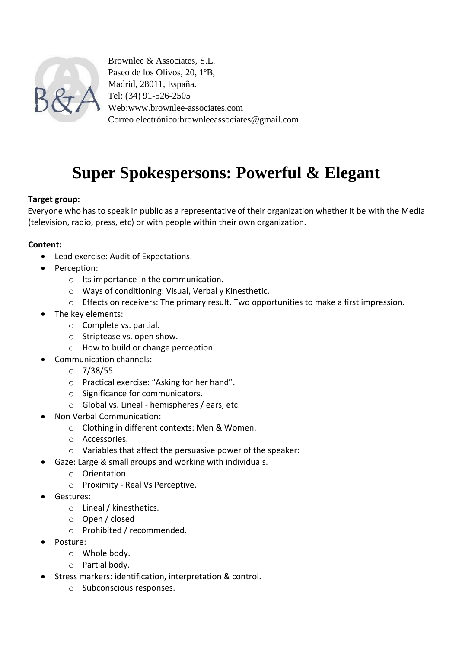

Brownlee & Associates, S.L. Paseo de los Olivos, 20, 1ºB, Madrid, 28011, España. Tel: (34) 91-526-2505 Web:www.brownlee-associates.com Correo electrónico:brownleeassociates@gmail.com

# **Super Spokespersons: Powerful & Elegant**

## **Target group:**

Everyone who has to speak in public as a representative of their organization whether it be with the Media (television, radio, press, etc) or with people within their own organization.

#### **Content:**

- Lead exercise: Audit of Expectations.
- Perception:
	- o Its importance in the communication.
	- o Ways of conditioning: Visual, Verbal y Kinesthetic.
	- o Effects on receivers: The primary result. Two opportunities to make a first impression.
- The key elements:
	- o Complete vs. partial.
	- o Striptease vs. open show.
	- o How to build or change perception.
- Communication channels:
	- o 7/38/55
	- o Practical exercise: "Asking for her hand".
	- o Significance for communicators.
	- o Global vs. Lineal hemispheres / ears, etc.
- Non Verbal Communication:
	- o Clothing in different contexts: Men & Women.
	- o Accessories.
	- o Variables that affect the persuasive power of the speaker:
- Gaze: Large & small groups and working with individuals.
	- o Orientation.
	- o Proximity Real Vs Perceptive.
- Gestures:
	- o Lineal / kinesthetics.
	- o Open / closed
	- o Prohibited / recommended.
- Posture:
	- o Whole body.
	- o Partial body.
- **•** Stress markers: identification, interpretation & control.
	- o Subconscious responses.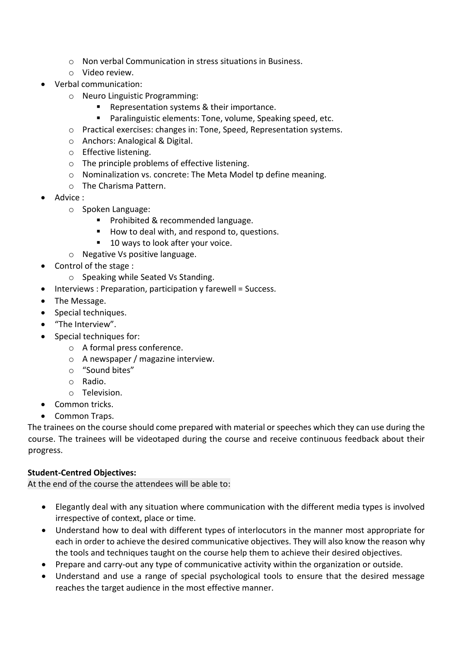- o Non verbal Communication in stress situations in Business.
- o Video review.
- Verbal communication:
	- o Neuro Linguistic Programming:
		- Representation systems & their importance.
		- Paralinguistic elements: Tone, volume, Speaking speed, etc.
	- o Practical exercises: changes in: Tone, Speed, Representation systems.
	- o Anchors: Analogical & Digital.
	- o Effective listening.
	- o The principle problems of effective listening.
	- o Nominalization vs. concrete: The Meta Model tp define meaning.
	- o The Charisma Pattern.
- Advice :
	- o Spoken Language:
		- Prohibited & recommended language.
		- How to deal with, and respond to, questions.
		- 10 ways to look after your voice.
	- o Negative Vs positive language.
- Control of the stage :
	- o Speaking while Seated Vs Standing.
- Interviews : Preparation, participation y farewell = Success.
- The Message.
- Special techniques.
- "The Interview".
- Special techniques for:
	- o A formal press conference.
	- o A newspaper / magazine interview.
	- o "Sound bites"
	- o Radio.
	- o Television.
- Common tricks.
- Common Traps.

The trainees on the course should come prepared with material or speeches which they can use during the course. The trainees will be videotaped during the course and receive continuous feedback about their progress.

## **Student-Centred Objectives:**

At the end of the course the attendees will be able to:

- Elegantly deal with any situation where communication with the different media types is involved irrespective of context, place or time.
- Understand how to deal with different types of interlocutors in the manner most appropriate for each in order to achieve the desired communicative objectives. They will also know the reason why the tools and techniques taught on the course help them to achieve their desired objectives.
- Prepare and carry-out any type of communicative activity within the organization or outside.
- Understand and use a range of special psychological tools to ensure that the desired message reaches the target audience in the most effective manner.